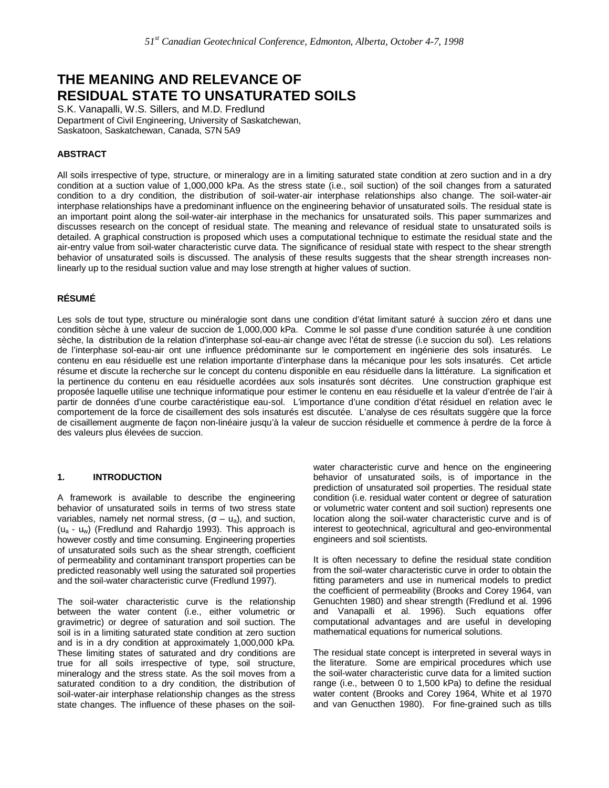# **THE MEANING AND RELEVANCE OF RESIDUAL STATE TO UNSATURATED SOILS**

S.K. Vanapalli, W.S. Sillers, and M.D. Fredlund Department of Civil Engineering, University of Saskatchewan, Saskatoon, Saskatchewan, Canada, S7N 5A9

# **ABSTRACT**

All soils irrespective of type, structure, or mineralogy are in a limiting saturated state condition at zero suction and in a dry condition at a suction value of 1,000,000 kPa. As the stress state (i.e., soil suction) of the soil changes from a saturated condition to a dry condition, the distribution of soil-water-air interphase relationships also change. The soil-water-air interphase relationships have a predominant influence on the engineering behavior of unsaturated soils. The residual state is an important point along the soil-water-air interphase in the mechanics for unsaturated soils. This paper summarizes and discusses research on the concept of residual state. The meaning and relevance of residual state to unsaturated soils is detailed. A graphical construction is proposed which uses a computational technique to estimate the residual state and the air-entry value from soil-water characteristic curve data. The significance of residual state with respect to the shear strength behavior of unsaturated soils is discussed. The analysis of these results suggests that the shear strength increases nonlinearly up to the residual suction value and may lose strength at higher values of suction.

# **RÉSUMÉ**

Les sols de tout type, structure ou minéralogie sont dans une condition d'état limitant saturé à succion zéro et dans une condition sèche à une valeur de succion de 1,000,000 kPa. Comme le sol passe d'une condition saturée à une condition sèche, la distribution de la relation d'interphase sol-eau-air change avec l'état de stresse (i.e succion du sol). Les relations de l'interphase sol-eau-air ont une influence prédominante sur le comportement en ingénierie des sols insaturés. Le contenu en eau résiduelle est une relation importante d'interphase dans la mécanique pour les sols insaturés. Cet article résume et discute la recherche sur le concept du contenu disponible en eau résiduelle dans la littérature. La signification et la pertinence du contenu en eau résiduelle acordées aux sols insaturés sont décrites. Une construction graphique est proposée laquelle utilise une technique informatique pour estimer le contenu en eau résiduelle et la valeur d'entrée de l'air à partir de données d'une courbe caractéristique eau-sol. L'importance d'une condition d'état résiduel en relation avec le comportement de la force de cisaillement des sols insaturés est discutée. L'analyse de ces résultats suggère que la force de cisaillement augmente de façon non-linéaire jusqu'à la valeur de succion résiduelle et commence à perdre de la force à des valeurs plus élevées de succion.

#### **1. INTRODUCTION**

A framework is available to describe the engineering behavior of unsaturated soils in terms of two stress state variables, namely net normal stress,  $(\sigma - u_a)$ , and suction, (ua - uw) (Fredlund and Rahardjo 1993). This approach is however costly and time consuming. Engineering properties of unsaturated soils such as the shear strength, coefficient of permeability and contaminant transport properties can be predicted reasonably well using the saturated soil properties and the soil-water characteristic curve (Fredlund 1997).

The soil-water characteristic curve is the relationship between the water content (i.e., either volumetric or gravimetric) or degree of saturation and soil suction. The soil is in a limiting saturated state condition at zero suction and is in a dry condition at approximately 1,000,000 kPa. These limiting states of saturated and dry conditions are true for all soils irrespective of type, soil structure, mineralogy and the stress state. As the soil moves from a saturated condition to a dry condition, the distribution of soil-water-air interphase relationship changes as the stress state changes. The influence of these phases on the soilwater characteristic curve and hence on the engineering behavior of unsaturated soils, is of importance in the prediction of unsaturated soil properties. The residual state condition (i.e. residual water content or degree of saturation or volumetric water content and soil suction) represents one location along the soil-water characteristic curve and is of interest to geotechnical, agricultural and geo-environmental engineers and soil scientists.

It is often necessary to define the residual state condition from the soil-water characteristic curve in order to obtain the fitting parameters and use in numerical models to predict the coefficient of permeability (Brooks and Corey 1964, van Genuchten 1980) and shear strength (Fredlund et al. 1996 and Vanapalli et al. 1996). Such equations offer computational advantages and are useful in developing mathematical equations for numerical solutions.

The residual state concept is interpreted in several ways in the literature. Some are empirical procedures which use the soil-water characteristic curve data for a limited suction range (i.e., between 0 to 1,500 kPa) to define the residual water content (Brooks and Corey 1964, White et al 1970 and van Genucthen 1980). For fine-grained such as tills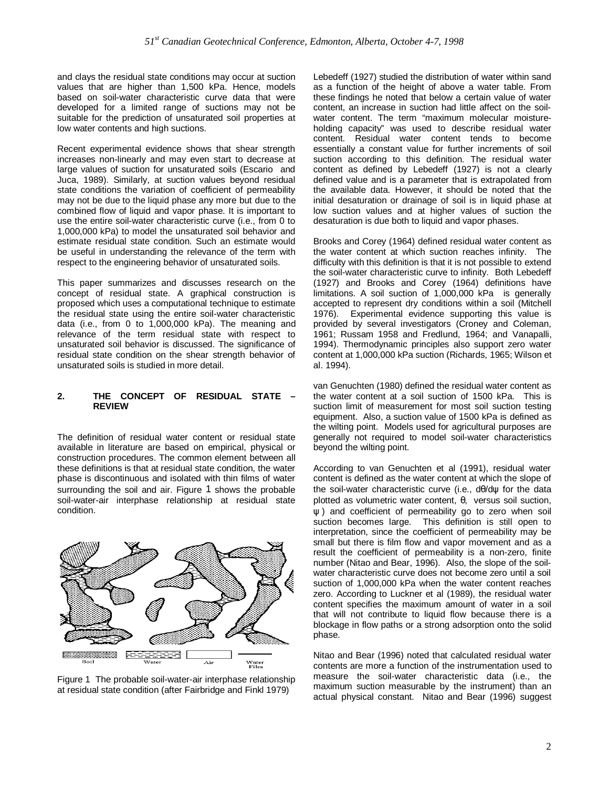and clays the residual state conditions may occur at suction values that are higher than 1,500 kPa. Hence, models based on soil-water characteristic curve data that were developed for a limited range of suctions may not be suitable for the prediction of unsaturated soil properties at low water contents and high suctions.

Recent experimental evidence shows that shear strength increases non-linearly and may even start to decrease at large values of suction for unsaturated soils (Escario and Juca, 1989). Similarly, at suction values beyond residual state conditions the variation of coefficient of permeability may not be due to the liquid phase any more but due to the combined flow of liquid and vapor phase. It is important to use the entire soil-water characteristic curve (i.e., from 0 to 1,000,000 kPa) to model the unsaturated soil behavior and estimate residual state condition. Such an estimate would be useful in understanding the relevance of the term with respect to the engineering behavior of unsaturated soils.

This paper summarizes and discusses research on the concept of residual state. A graphical construction is proposed which uses a computational technique to estimate the residual state using the entire soil-water characteristic data (i.e., from 0 to 1,000,000 kPa). The meaning and relevance of the term residual state with respect to unsaturated soil behavior is discussed. The significance of residual state condition on the shear strength behavior of unsaturated soils is studied in more detail.

#### **2. THE CONCEPT OF RESIDUAL STATE – REVIEW**

The definition of residual water content or residual state available in literature are based on empirical, physical or construction procedures. The common element between all these definitions is that at residual state condition, the water phase is discontinuous and isolated with thin films of water surrounding the soil and air. Figure 1 shows the probable soil-water-air interphase relationship at residual state condition.



Figure 1 The probable soil-water-air interphase relationship at residual state condition (after Fairbridge and Finkl 1979)

Lebedeff (1927) studied the distribution of water within sand as a function of the height of above a water table. From these findings he noted that below a certain value of water content, an increase in suction had little affect on the soilwater content. The term "maximum molecular moistureholding capacity" was used to describe residual water content. Residual water content tends to become essentially a constant value for further increments of soil suction according to this definition. The residual water content as defined by Lebedeff (1927) is not a clearly defined value and is a parameter that is extrapolated from the available data. However, it should be noted that the initial desaturation or drainage of soil is in liquid phase at low suction values and at higher values of suction the desaturation is due both to liquid and vapor phases.

Brooks and Corey (1964) defined residual water content as the water content at which suction reaches infinity. The difficulty with this definition is that it is not possible to extend the soil-water characteristic curve to infinity. Both Lebedeff (1927) and Brooks and Corey (1964) definitions have limitations. A soil suction of 1,000,000 kPa is generally accepted to represent dry conditions within a soil (Mitchell 1976). Experimental evidence supporting this value is provided by several investigators (Croney and Coleman, 1961; Russam 1958 and Fredlund, 1964; and Vanapalli, 1994). Thermodynamic principles also support zero water content at 1,000,000 kPa suction (Richards, 1965; Wilson et al. 1994).

van Genuchten (1980) defined the residual water content as the water content at a soil suction of 1500 kPa. This is suction limit of measurement for most soil suction testing equipment. Also, a suction value of 1500 kPa is defined as the wilting point. Models used for agricultural purposes are generally not required to model soil-water characteristics beyond the wilting point.

According to van Genuchten et al (1991), residual water content is defined as the water content at which the slope of the soil-water characteristic curve (i.e., dθ/dψ for the data plotted as volumetric water content, θ, versus soil suction, ψ ) and coefficient of permeability go to zero when soil suction becomes large. This definition is still open to interpretation, since the coefficient of permeability may be small but there is film flow and vapor movement and as a result the coefficient of permeability is a non-zero, finite number (Nitao and Bear, 1996). Also, the slope of the soilwater characteristic curve does not become zero until a soil suction of 1,000,000 kPa when the water content reaches zero. According to Luckner et al (1989), the residual water content specifies the maximum amount of water in a soil that will not contribute to liquid flow because there is a blockage in flow paths or a strong adsorption onto the solid phase.

Nitao and Bear (1996) noted that calculated residual water contents are more a function of the instrumentation used to measure the soil-water characteristic data (i.e., the maximum suction measurable by the instrument) than an actual physical constant. Nitao and Bear (1996) suggest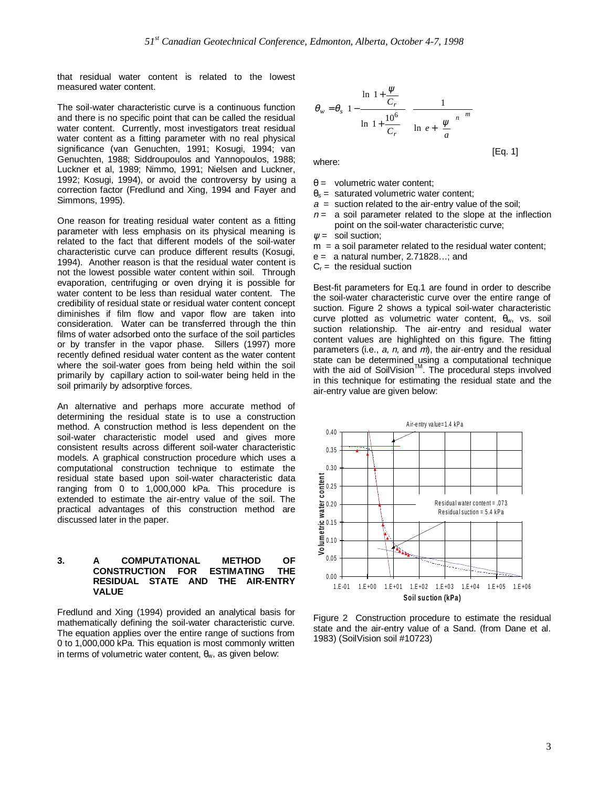that residual water content is related to the lowest measured water content.

The soil-water characteristic curve is a continuous function and there is no specific point that can be called the residual water content. Currently, most investigators treat residual water content as a fitting parameter with no real physical significance (van Genuchten, 1991; Kosugi, 1994; van Genuchten, 1988; Siddroupoulos and Yannopoulos, 1988; Luckner et al, 1989; Nimmo, 1991; Nielsen and Luckner, 1992; Kosugi, 1994), or avoid the controversy by using a correction factor (Fredlund and Xing, 1994 and Fayer and Simmons, 1995).

One reason for treating residual water content as a fitting parameter with less emphasis on its physical meaning is related to the fact that different models of the soil-water characteristic curve can produce different results (Kosugi, 1994). Another reason is that the residual water content is not the lowest possible water content within soil. Through evaporation, centrifuging or oven drying it is possible for water content to be less than residual water content. The credibility of residual state or residual water content concept diminishes if film flow and vapor flow are taken into consideration. Water can be transferred through the thin films of water adsorbed onto the surface of the soil particles or by transfer in the vapor phase. Sillers (1997) more recently defined residual water content as the water content where the soil-water goes from being held within the soil primarily by capillary action to soil-water being held in the soil primarily by adsorptive forces.

An alternative and perhaps more accurate method of determining the residual state is to use a construction method. A construction method is less dependent on the soil-water characteristic model used and gives more consistent results across different soil-water characteristic models. A graphical construction procedure which uses a computational construction technique to estimate the residual state based upon soil-water characteristic data ranging from 0 to 1,000,000 kPa. This procedure is extended to estimate the air-entry value of the soil. The practical advantages of this construction method are discussed later in the paper.

#### **3. A COMPUTATIONAL METHOD OF CONSTRUCTION FOR ESTIMATING THE RESIDUAL STATE AND THE AIR-ENTRY VALUE**

Fredlund and Xing (1994) provided an analytical basis for mathematically defining the soil-water characteristic curve. The equation applies over the entire range of suctions from 0 to 1,000,000 kPa. This equation is most commonly written in terms of volumetric water content,  $θ<sub>w</sub>$ , as given below:

$$
\theta_{w} = \theta_{s} \left[ 1 - \frac{\ln\left(1 + \frac{\psi}{C_{r}}\right)}{\ln\left(1 + \frac{10^{6}}{C_{r}}\right)} \right] \frac{1}{\ln\left[e + \left(\frac{\psi}{a}\right)^{n}\right]^{m}}
$$
\n[Eq. 1]

where:

- $\theta$  = volumetric water content:
- $\theta_s$  = saturated volumetric water content:
- $a =$  suction related to the air-entry value of the soil:
- $n =$  a soil parameter related to the slope at the inflection point on the soil-water characteristic curve;
- $\psi$  = soil suction;
- $m = a$  soil parameter related to the residual water content;
- $e =$  a natural number, 2.71828...; and
- $C_r =$  the residual suction

Best-fit parameters for Eq.1 are found in order to describe the soil-water characteristic curve over the entire range of suction. Figure 2 shows a typical soil-water characteristic curve plotted as volumetric water content,  $\theta_w$ , vs. soil suction relationship. The air-entry and residual water content values are highlighted on this figure. The fitting parameters (i.e.,  $a$ ,  $n$ , and  $m$ ), the air-entry and the residual state can be determined using a computational technique with the aid of SoilVision $M$ . The procedural steps involved in this technique for estimating the residual state and the air-entry value are given below:



Figure 2 Construction procedure to estimate the residual state and the air-entry value of a Sand. (from Dane et al. 1983) (SoilVision soil #10723)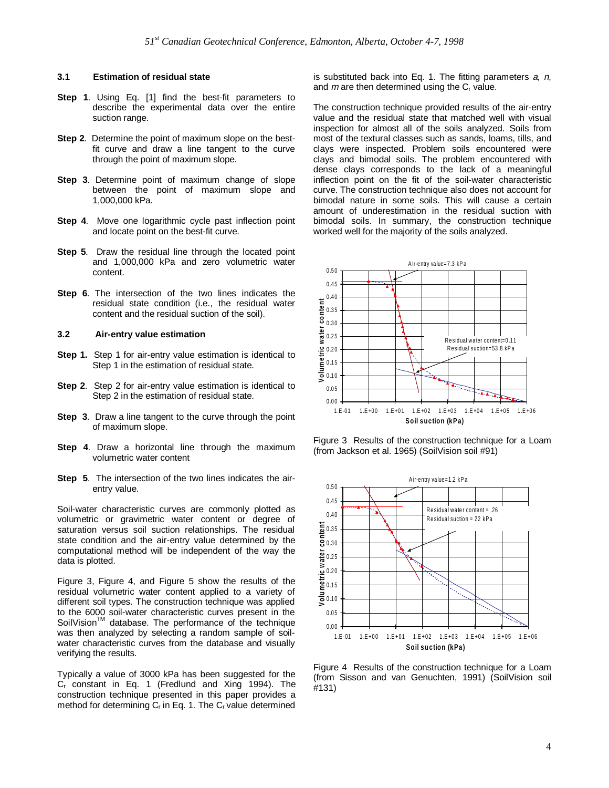#### **3.1 Estimation of residual state**

- **Step 1**. Using Eq. [1] find the best-fit parameters to describe the experimental data over the entire suction range.
- **Step 2**. Determine the point of maximum slope on the bestfit curve and draw a line tangent to the curve through the point of maximum slope.
- **Step 3**. Determine point of maximum change of slope between the point of maximum slope and 1,000,000 kPa.
- **Step 4.** Move one logarithmic cycle past inflection point and locate point on the best-fit curve.
- **Step 5**. Draw the residual line through the located point and 1,000,000 kPa and zero volumetric water content.
- **Step 6.** The intersection of the two lines indicates the residual state condition (i.e., the residual water content and the residual suction of the soil).

### **3.2 Air-entry value estimation**

- **Step 1.** Step 1 for air-entry value estimation is identical to Step 1 in the estimation of residual state.
- **Step 2**. Step 2 for air-entry value estimation is identical to Step 2 in the estimation of residual state.
- **Step 3**. Draw a line tangent to the curve through the point of maximum slope.
- **Step 4.** Draw a horizontal line through the maximum volumetric water content
- **Step 5.** The intersection of the two lines indicates the airentry value.

Soil-water characteristic curves are commonly plotted as volumetric or gravimetric water content or degree of saturation versus soil suction relationships. The residual state condition and the air-entry value determined by the computational method will be independent of the way the data is plotted.

Figure 3, Figure 4, and Figure 5 show the results of the residual volumetric water content applied to a variety of different soil types. The construction technique was applied to the 6000 soil-water characteristic curves present in the SoilVision<sup>™</sup> database. The performance of the technique was then analyzed by selecting a random sample of soilwater characteristic curves from the database and visually verifying the results.

Typically a value of 3000 kPa has been suggested for the Cr constant in Eq. 1 (Fredlund and Xing 1994). The construction technique presented in this paper provides a method for determining C<sub>r</sub> in Eq. 1. The C<sub>r</sub> value determined

is substituted back into Eq. 1. The fitting parameters  $a$ ,  $n$ , and  $m$  are then determined using the  $C<sub>r</sub>$  value.

The construction technique provided results of the air-entry value and the residual state that matched well with visual inspection for almost all of the soils analyzed. Soils from most of the textural classes such as sands, loams, tills, and clays were inspected. Problem soils encountered were clays and bimodal soils. The problem encountered with dense clays corresponds to the lack of a meaningful inflection point on the fit of the soil-water characteristic curve. The construction technique also does not account for bimodal nature in some soils. This will cause a certain amount of underestimation in the residual suction with bimodal soils. In summary, the construction technique worked well for the majority of the soils analyzed.



Figure 3 Results of the construction technique for a Loam (from Jackson et al. 1965) (SoilVision soil #91)



Figure 4 Results of the construction technique for a Loam (from Sisson and van Genuchten, 1991) (SoilVision soil #131)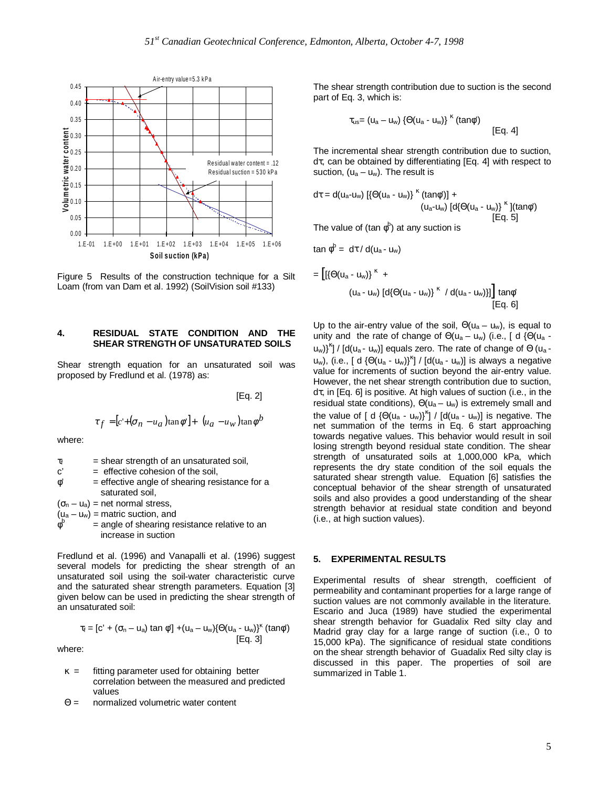

Figure 5 Results of the construction technique for a Silt Loam (from van Dam et al. 1992) (SoilVision soil #133)

#### **4. RESIDUAL STATE CONDITION AND THE SHEAR STRENGTH OF UNSATURATED SOILS**

Shear strength equation for an unsaturated soil was proposed by Fredlund et al. (1978) as:

[Eq. 2]

$$
\tau_f = [c' + (\sigma_n - u_a)\tan\phi'] + \left[ (u_a - u_w)\tan\phi^b \right]
$$

where:

φ

- $\tau_f$  = shear strength of an unsaturated soil,
- $c' =$  effective cohesion of the soil,
- $\phi'$  = effective angle of shearing resistance for a saturated soil,

 $(\sigma_{n} - u_{a})$  = net normal stress,

 $(u_a - u_w)$  = matric suction, and

 $=$  angle of shearing resistance relative to an increase in suction

Fredlund et al. (1996) and Vanapalli et al. (1996) suggest several models for predicting the shear strength of an unsaturated soil using the soil-water characteristic curve and the saturated shear strength parameters. Equation [3] given below can be used in predicting the shear strength of an unsaturated soil:

$$
\tau_f = [c' + (\sigma_n - u_a) \tan \phi'] + (u_a - u_w) \{\Theta(u_a - u_w)\}^k \text{ (tan}\phi')
$$
  
[Eq. 3]

where:

- $\kappa$  = fitting parameter used for obtaining better correlation between the measured and predicted values
- Θ = normalized volumetric water content

The shear strength contribution due to suction is the second part of Eq. 3, which is:

$$
\tau_{us} = (u_a - u_w) \left\{ \Theta(u_a - u_w) \right\}^{\kappa} (\tan \phi') \qquad \text{[Eq. 4]}
$$

The incremental shear strength contribution due to suction, dτ, can be obtained by differentiating [Eq. 4] with respect to suction,  $(u_a - u_w)$ . The result is

$$
d\tau = d(u_a-u_w) \left[ \{ \Theta(u_a - u_w) \}^{\kappa} (tan\phi^{\prime}) \right] +
$$
  
\n
$$
(u_a-u_w) \left[ d \{ \Theta(u_a - u_w) \}^{\kappa} \right] (tan\phi^{\prime})
$$
  
\n[Eq. 5]

The value of (tan  $\phi^\text{b}$ ) at any suction is

$$
\tan \phi^b = d\tau / d(u_a - u_w)
$$

$$
= \left[ [\{\Theta(u_a - u_w)\}^{\kappa} + (u_a - u_w) [\text{d}\{\Theta(u_a - u_w)\}^{\kappa} / \text{d}(u_a - u_w)] \right] \tan \phi'
$$
  
[Eq. 6]

Up to the air-entry value of the soil,  $\Theta(u_a - u_w)$ , is equal to unity and the rate of change of  $\Theta(u_a - u_w)$  (i.e., [ d { $\Theta(u_a - u_w)$ ] u<sub>w</sub>)}<sup>k</sup>] / [d(u<sub>a</sub> - u<sub>w</sub>)] equals zero. The rate of change of  $\Theta$  (u<sub>a</sub> u<sub>w</sub>), (i.e., [ d {Θ(u<sub>a</sub> - u<sub>w</sub>)}<sup>κ</sup>] / [d(u<sub>a</sub> - u<sub>w</sub>)] is always a negative value for increments of suction beyond the air-entry value. However, the net shear strength contribution due to suction, dτ, in [Eq. 6] is positive. At high values of suction (i.e., in the residual state conditions),  $\Theta(u_a - u_w)$  is extremely small and the value of [ d  $\{\Theta(u_a - u_w)\}^{\kappa}$ ] / [d(u<sub>a</sub> - u<sub>w</sub>)] is negative. The net summation of the terms in Eq. 6 start approaching towards negative values. This behavior would result in soil losing strength beyond residual state condition. The shear strength of unsaturated soils at 1,000,000 kPa, which represents the dry state condition of the soil equals the saturated shear strength value. Equation [6] satisfies the conceptual behavior of the shear strength of unsaturated soils and also provides a good understanding of the shear strength behavior at residual state condition and beyond (i.e., at high suction values).

#### **5. EXPERIMENTAL RESULTS**

Experimental results of shear strength, coefficient of permeability and contaminant properties for a large range of suction values are not commonly available in the literature. Escario and Juca (1989) have studied the experimental shear strength behavior for Guadalix Red silty clay and Madrid gray clay for a large range of suction (i.e., 0 to 15,000 kPa). The significance of residual state conditions on the shear strength behavior of Guadalix Red silty clay is discussed in this paper. The properties of soil are summarized in Table 1.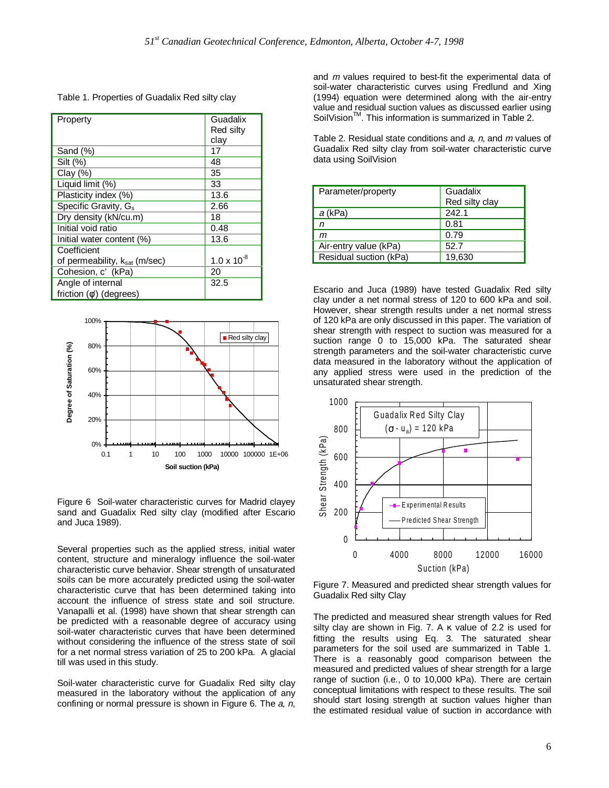Table 1. Properties of Guadalix Red silty clay

| Property                         | Guadalix             |
|----------------------------------|----------------------|
|                                  | Red silty            |
|                                  | clay                 |
| Sand (%)                         | 17                   |
| Silt (%)                         | 48                   |
| Clay $(\%)$                      | 35                   |
| Liquid limit (%)                 | 33                   |
| Plasticity index (%)             | 13.6                 |
| Specific Gravity, G <sub>s</sub> | 2.66                 |
| Dry density (kN/cu.m)            | 18                   |
| Initial void ratio               | 0.48                 |
| Initial water content (%)        | 13.6                 |
| Coefficient                      |                      |
| of permeability, ksat (m/sec)    | $1.0 \times 10^{-8}$ |
| Cohesion, c' (kPa)               | 20                   |
| Angle of internal                | 32.5                 |
| friction $(\phi')$ (degrees)     |                      |



Figure 6 Soil-water characteristic curves for Madrid clayey sand and Guadalix Red silty clay (modified after Escario and Juca 1989).

Several properties such as the applied stress, initial water content, structure and mineralogy influence the soil-water characteristic curve behavior. Shear strength of unsaturated soils can be more accurately predicted using the soil-water characteristic curve that has been determined taking into account the influence of stress state and soil structure. Vanapalli et al. (1998) have shown that shear strength can be predicted with a reasonable degree of accuracy using soil-water characteristic curves that have been determined without considering the influence of the stress state of soil for a net normal stress variation of 25 to 200 kPa. A glacial till was used in this study.

Soil-water characteristic curve for Guadalix Red silty clay measured in the laboratory without the application of any confining or normal pressure is shown in Figure 6. The  $a$ ,  $n$ , and m values required to best-fit the experimental data of soil-water characteristic curves using Fredlund and Xing (1994) equation were determined along with the air-entry value and residual suction values as discussed earlier using SoilVision<sup>™</sup>. This information is summarized in Table 2.

Table 2. Residual state conditions and a, n, and m values of Guadalix Red silty clay from soil-water characteristic curve data using SoilVision

| Parameter/property     | Guadalix       |
|------------------------|----------------|
|                        | Red silty clay |
| a (kPa)                | 242.1          |
| n                      | 0.81           |
| m                      | 0.79           |
| Air-entry value (kPa)  | 52.7           |
| Residual suction (kPa) | 19,630         |

Escario and Juca (1989) have tested Guadalix Red silty clay under a net normal stress of 120 to 600 kPa and soil. However, shear strength results under a net normal stress of 120 kPa are only discussed in this paper. The variation of shear strength with respect to suction was measured for a suction range 0 to 15,000 kPa. The saturated shear strength parameters and the soil-water characteristic curve data measured in the laboratory without the application of any applied stress were used in the prediction of the unsaturated shear strength.



Figure 7. Measured and predicted shear strength values for Guadalix Red silty Clay

The predicted and measured shear strength values for Red silty clay are shown in Fig. 7. A  $\kappa$  value of 2.2 is used for fitting the results using Eq. 3. The saturated shear parameters for the soil used are summarized in Table 1. There is a reasonably good comparison between the measured and predicted values of shear strength for a large range of suction (i.e., 0 to 10,000 kPa). There are certain conceptual limitations with respect to these results. The soil should start losing strength at suction values higher than the estimated residual value of suction in accordance with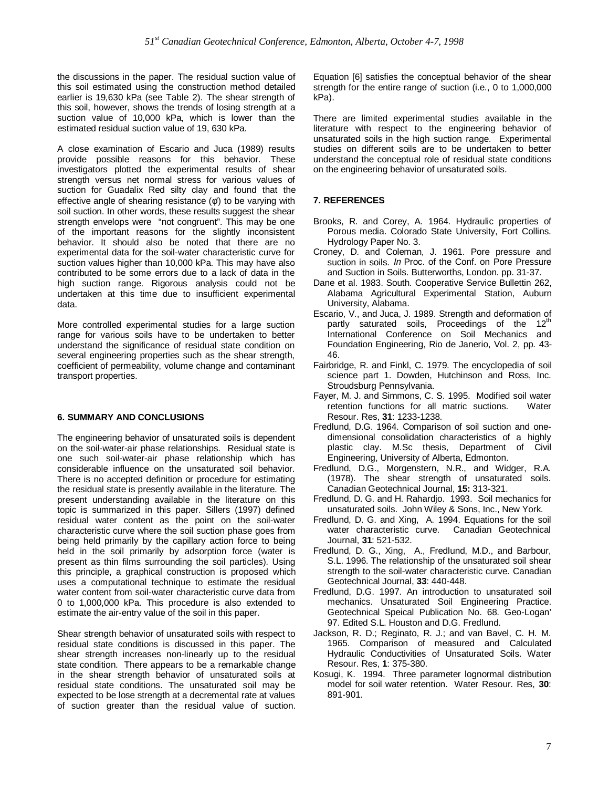the discussions in the paper. The residual suction value of this soil estimated using the construction method detailed earlier is 19,630 kPa (see Table 2). The shear strength of this soil, however, shows the trends of losing strength at a suction value of 10,000 kPa, which is lower than the estimated residual suction value of 19, 630 kPa.

A close examination of Escario and Juca (1989) results provide possible reasons for this behavior. These investigators plotted the experimental results of shear strength versus net normal stress for various values of suction for Guadalix Red silty clay and found that the effective angle of shearing resistance (φ') to be varying with soil suction. In other words, these results suggest the shear strength envelops were "not congruent". This may be one of the important reasons for the slightly inconsistent behavior. It should also be noted that there are no experimental data for the soil-water characteristic curve for suction values higher than 10,000 kPa. This may have also contributed to be some errors due to a lack of data in the high suction range. Rigorous analysis could not be undertaken at this time due to insufficient experimental data.

More controlled experimental studies for a large suction range for various soils have to be undertaken to better understand the significance of residual state condition on several engineering properties such as the shear strength, coefficient of permeability, volume change and contaminant transport properties.

#### **6. SUMMARY AND CONCLUSIONS**

The engineering behavior of unsaturated soils is dependent on the soil-water-air phase relationships. Residual state is one such soil-water-air phase relationship which has considerable influence on the unsaturated soil behavior. There is no accepted definition or procedure for estimating the residual state is presently available in the literature. The present understanding available in the literature on this topic is summarized in this paper. Sillers (1997) defined residual water content as the point on the soil-water characteristic curve where the soil suction phase goes from being held primarily by the capillary action force to being held in the soil primarily by adsorption force (water is present as thin films surrounding the soil particles). Using this principle, a graphical construction is proposed which uses a computational technique to estimate the residual water content from soil-water characteristic curve data from 0 to 1,000,000 kPa. This procedure is also extended to estimate the air-entry value of the soil in this paper.

Shear strength behavior of unsaturated soils with respect to residual state conditions is discussed in this paper. The shear strength increases non-linearly up to the residual state condition. There appears to be a remarkable change in the shear strength behavior of unsaturated soils at residual state conditions. The unsaturated soil may be expected to be lose strength at a decremental rate at values of suction greater than the residual value of suction. Equation [6] satisfies the conceptual behavior of the shear strength for the entire range of suction (i.e., 0 to 1,000,000 kPa).

There are limited experimental studies available in the literature with respect to the engineering behavior of unsaturated soils in the high suction range. Experimental studies on different soils are to be undertaken to better understand the conceptual role of residual state conditions on the engineering behavior of unsaturated soils.

# **7. REFERENCES**

- Brooks, R. and Corey, A. 1964. Hydraulic properties of Porous media. Colorado State University, Fort Collins. Hydrology Paper No. 3.
- Croney, D. and Coleman, J. 1961. Pore pressure and suction in soils. In Proc. of the Conf. on Pore Pressure and Suction in Soils. Butterworths, London. pp. 31-37.
- Dane et al. 1983. South. Cooperative Service Bullettin 262, Alabama Agricultural Experimental Station, Auburn University, Alabama.
- Escario, V., and Juca, J. 1989. Strength and deformation of partly saturated soils, Proceedings of the 12<sup>th</sup> International Conference on Soil Mechanics and Foundation Engineering, Rio de Janerio, Vol. 2, pp. 43- 46.
- Fairbridge, R. and Finkl, C. 1979. The encyclopedia of soil science part 1. Dowden, Hutchinson and Ross, Inc. Stroudsburg Pennsylvania.
- Fayer, M. J. and Simmons, C. S. 1995. Modified soil water retention functions for all matric suctions. Water Resour. Res, **31**: 1233-1238.
- Fredlund, D.G. 1964. Comparison of soil suction and onedimensional consolidation characteristics of a highly plastic clay. M.Sc thesis, Department of Civil Engineering, University of Alberta, Edmonton.
- Fredlund, D.G., Morgenstern, N.R., and Widger, R.A. (1978). The shear strength of unsaturated soils. Canadian Geotechnical Journal, **15:** 313-321.
- Fredlund, D. G. and H. Rahardjo. 1993. Soil mechanics for unsaturated soils. John Wiley & Sons, Inc., New York.
- Fredlund, D. G. and Xing, A. 1994. Equations for the soil water characteristic curve. Canadian Geotechnical Journal, **31**: 521-532.
- Fredlund, D. G., Xing, A., Fredlund, M.D., and Barbour, S.L. 1996. The relationship of the unsaturated soil shear strength to the soil-water characteristic curve. Canadian Geotechnical Journal, **33**: 440-448.
- Fredlund, D.G. 1997. An introduction to unsaturated soil mechanics. Unsaturated Soil Engineering Practice. Geotechnical Speical Publication No. 68. Geo-Logan' 97. Edited S.L. Houston and D.G. Fredlund.
- Jackson, R. D.; Reginato, R. J.; and van Bavel, C. H. M. 1965. Comparison of measured and Calculated Hydraulic Conductivities of Unsaturated Soils. Water Resour. Res, **1**: 375-380.
- Kosugi, K. 1994. Three parameter lognormal distribution model for soil water retention. Water Resour. Res, **30**: 891-901.